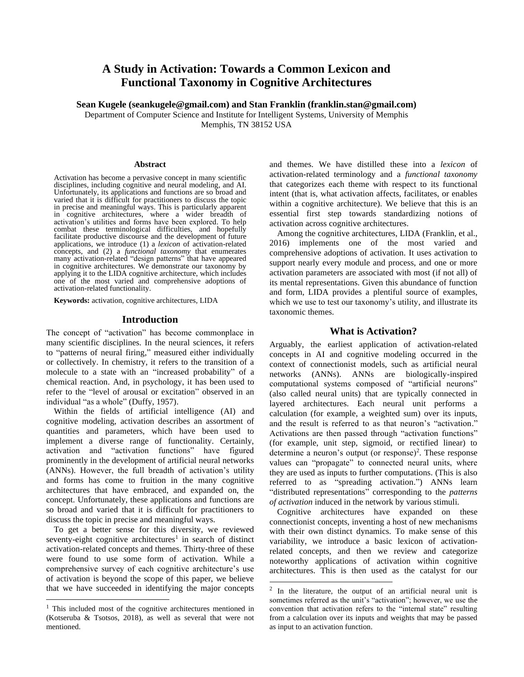# **A Study in Activation: Towards a Common Lexicon and Functional Taxonomy in Cognitive Architectures**

**Sean Kugele (seankugele@gmail.com) and Stan Franklin (franklin.stan@gmail.com)**

Department of Computer Science and Institute for Intelligent Systems, University of Memphis Memphis, TN 38152 USA

#### **Abstract**

Activation has become a pervasive concept in many scientific disciplines, including cognitive and neural modeling, and AI. Unfortunately, its applications and functions are so broad and varied that it is difficult for practitioners to discuss the topic in precise and meaningful ways. This is particularly apparent in cognitive architectures, where a wider breadth of activation's utilities and forms have been explored. To help combat these terminological difficulties, and hopefully facilitate productive discourse and the development of future applications, we introduce (1) a *lexicon* of activation-related concepts, and (2) a *functional taxonomy* that enumerates many activation-related "design patterns" that have appeared in cognitive architectures. We demonstrate our taxonomy by applying it to the LIDA cognitive architecture, which includes one of the most varied and comprehensive adoptions of activation-related functionality.

**Keywords:** activation, cognitive architectures, LIDA

# **Introduction**

The concept of "activation" has become commonplace in many scientific disciplines. In the neural sciences, it refers to "patterns of neural firing," measured either individually or collectively. In chemistry, it refers to the transition of a molecule to a state with an "increased probability" of a chemical reaction. And, in psychology, it has been used to refer to the "level of arousal or excitation" observed in an individual "as a whole" (Duffy, 1957).

Within the fields of artificial intelligence (AI) and cognitive modeling, activation describes an assortment of quantities and parameters, which have been used to implement a diverse range of functionality. Certainly, activation and "activation functions" have figured prominently in the development of artificial neural networks (ANNs). However, the full breadth of activation's utility and forms has come to fruition in the many cognitive architectures that have embraced, and expanded on, the concept. Unfortunately, these applications and functions are so broad and varied that it is difficult for practitioners to discuss the topic in precise and meaningful ways.

To get a better sense for this diversity, we reviewed seventy-eight cognitive architectures<sup>1</sup> in search of distinct activation-related concepts and themes. Thirty-three of these were found to use some form of activation. While a comprehensive survey of each cognitive architecture's use of activation is beyond the scope of this paper, we believe that we have succeeded in identifying the major concepts

and themes. We have distilled these into a *lexicon* of activation-related terminology and a *functional taxonomy*  that categorizes each theme with respect to its functional intent (that is, what activation affects, facilitates, or enables within a cognitive architecture). We believe that this is an essential first step towards standardizing notions of activation across cognitive architectures.

Among the cognitive architectures, LIDA (Franklin, et al., 2016) implements one of the most varied and comprehensive adoptions of activation. It uses activation to support nearly every module and process, and one or more activation parameters are associated with most (if not all) of its mental representations. Given this abundance of function and form, LIDA provides a plentiful source of examples, which we use to test our taxonomy's utility, and illustrate its taxonomic themes.

# **What is Activation?**

Arguably, the earliest application of activation-related concepts in AI and cognitive modeling occurred in the context of connectionist models, such as artificial neural networks (ANNs). ANNs are biologically-inspired computational systems composed of "artificial neurons" (also called neural units) that are typically connected in layered architectures. Each neural unit performs a calculation (for example, a weighted sum) over its inputs, and the result is referred to as that neuron's "activation." Activations are then passed through "activation functions" (for example, unit step, sigmoid, or rectified linear) to determine a neuron's output (or response)<sup>2</sup>. These response values can "propagate" to connected neural units, where they are used as inputs to further computations. (This is also referred to as "spreading activation.") ANNs learn "distributed representations" corresponding to the *patterns of activation* induced in the network by various stimuli.

Cognitive architectures have expanded on these connectionist concepts, inventing a host of new mechanisms with their own distinct dynamics. To make sense of this variability, we introduce a basic lexicon of activationrelated concepts, and then we review and categorize noteworthy applications of activation within cognitive architectures. This is then used as the catalyst for our

<sup>&</sup>lt;sup>1</sup> This included most of the cognitive architectures mentioned in (Kotseruba & Tsotsos, 2018), as well as several that were not mentioned.

 $2$  In the literature, the output of an artificial neural unit is sometimes referred as the unit's "activation"; however, we use the convention that activation refers to the "internal state" resulting from a calculation over its inputs and weights that may be passed as input to an activation function.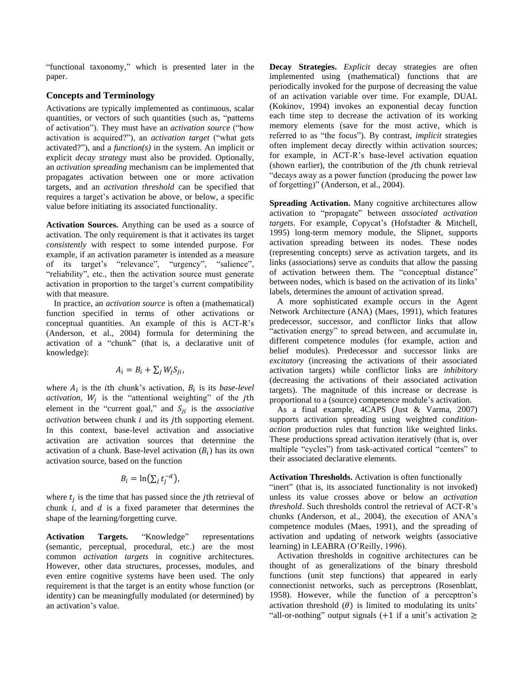"functional taxonomy," which is presented later in the paper.

# **Concepts and Terminology**

Activations are typically implemented as continuous, scalar quantities, or vectors of such quantities (such as, "patterns of activation"). They must have an *activation source* ("how activation is acquired?"), an *activation target* ("what gets activated?"), and a *function(s)* in the system. An implicit or explicit *decay strategy* must also be provided. Optionally, an *activation spreading* mechanism can be implemented that propagates activation between one or more activation targets, and an *activation threshold* can be specified that requires a target's activation be above, or below, a specific value before initiating its associated functionality.

**Activation Sources.** Anything can be used as a source of activation. The only requirement is that it activates its target *consistently* with respect to some intended purpose. For example, if an activation parameter is intended as a measure of its target's "relevance", "urgency", "salience", "reliability", etc., then the activation source must generate activation in proportion to the target's current compatibility with that measure.

In practice, an *activation source* is often a (mathematical) function specified in terms of other activations or conceptual quantities. An example of this is ACT-R's (Anderson, et al., 2004) formula for determining the activation of a "chunk" (that is, a declarative unit of knowledge):

$$
A_i = B_i + \sum_j W_j S_{ji},
$$

where  $A_i$  is the *i*th chunk's activation,  $B_i$  is its *base-level activation*,  $W_j$  is the "attentional weighting" of the jth element in the "current goal," and  $S_{ij}$  is the *associative activation* between chunk *i* and its *j*th supporting element. In this context, base-level activation and associative activation are activation sources that determine the activation of a chunk. Base-level activation  $(B_i)$  has its own activation source, based on the function

$$
B_i = \ln(\sum_j t_j^{-d}),
$$

where  $t_j$  is the time that has passed since the *j*th retrieval of chunk  $i$ , and  $d$  is a fixed parameter that determines the shape of the learning/forgetting curve.

**Activation Targets.** "Knowledge" representations (semantic, perceptual, procedural, etc.) are the most common *activation targets* in cognitive architectures. However, other data structures, processes, modules, and even entire cognitive systems have been used. The only requirement is that the target is an entity whose function (or identity) can be meaningfully modulated (or determined) by an activation's value.

**Decay Strategies.** *Explicit* decay strategies are often implemented using (mathematical) functions that are periodically invoked for the purpose of decreasing the value of an activation variable over time. For example, DUAL (Kokinov, 1994) invokes an exponential decay function each time step to decrease the activation of its working memory elements (save for the most active, which is referred to as "the focus"). By contrast, *implicit* strategies often implement decay directly within activation sources; for example, in ACT-R's base-level activation equation (shown earlier), the contribution of the  $i$ th chunk retrieval "decays away as a power function (producing the power law of forgetting)" (Anderson, et al., 2004).

**Spreading Activation.** Many cognitive architectures allow activation to "propagate" between *associated activation targets*. For example, Copycat's (Hofstadter & Mitchell, 1995) long-term memory module, the Slipnet, supports activation spreading between its nodes. These nodes (representing concepts) serve as activation targets, and its links (associations) serve as conduits that allow the passing of activation between them. The "conceptual distance" between nodes, which is based on the activation of its links' labels, determines the amount of activation spread.

A more sophisticated example occurs in the Agent Network Architecture (ANA) (Maes, 1991), which features predecessor, successor, and conflictor links that allow "activation energy" to spread between, and accumulate in, different competence modules (for example, action and belief modules). Predecessor and successor links are *excitatory* (increasing the activations of their associated activation targets) while conflictor links are *inhibitory* (decreasing the activations of their associated activation targets). The magnitude of this increase or decrease is proportional to a (source) competence module's activation.

As a final example, 4CAPS (Just & Varma, 2007) supports activation spreading using weighted *conditionaction* production rules that function like weighted links. These productions spread activation iteratively (that is, over multiple "cycles") from task-activated cortical "centers" to their associated declarative elements.

## **Activation Thresholds.** Activation is often functionally

"inert" (that is, its associated functionality is not invoked) unless its value crosses above or below an *activation threshold*. Such thresholds control the retrieval of ACT-R's chunks (Anderson, et al., 2004), the execution of ANA's competence modules (Maes, 1991), and the spreading of activation and updating of network weights (associative learning) in LEABRA (O'Reilly, 1996).

Activation thresholds in cognitive architectures can be thought of as generalizations of the binary threshold functions (unit step functions) that appeared in early connectionist networks, such as perceptrons (Rosenblatt, 1958). However, while the function of a perceptron's activation threshold  $(\theta)$  is limited to modulating its units' "all-or-nothing" output signals (+1 if a unit's activation  $\geq$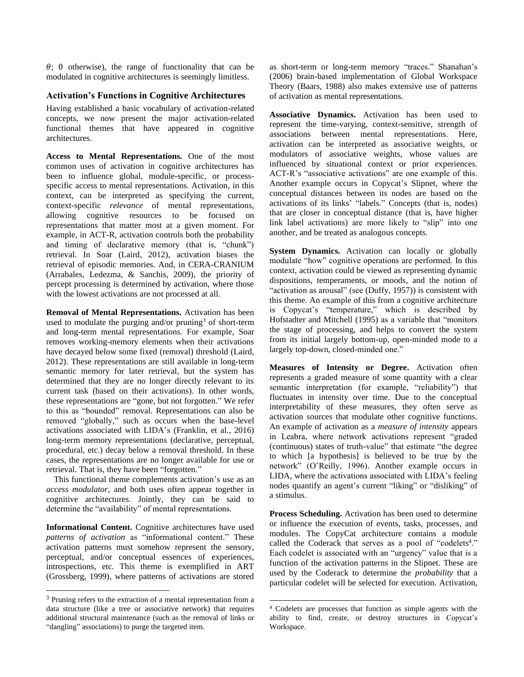$\theta$ ; 0 otherwise), the range of functionality that can be modulated in cognitive architectures is seemingly limitless.

## **Activation's Functions in Cognitive Architectures**

Having established a basic vocabulary of activation-related concepts, we now present the major activation-related functional themes that have appeared in cognitive architectures.

**Access to Mental Representations.** One of the most common uses of activation in cognitive architectures has been to influence global, module-specific, or processspecific access to mental representations. Activation, in this context, can be interpreted as specifying the current, context-specific *relevance* of mental representations, allowing cognitive resources to be focused on representations that matter most at a given moment. For example, in ACT-R, activation controls both the probability and timing of declarative memory (that is, "chunk") retrieval. In Soar (Laird, 2012), activation biases the retrieval of episodic memories. And, in CERA-CRANIUM (Arrabales, Ledezma, & Sanchis, 2009), the priority of percept processing is determined by activation, where those with the lowest activations are not processed at all.

**Removal of Mental Representations.** Activation has been used to modulate the purging and/or pruning<sup>3</sup> of short-term and long-term mental representations. For example, Soar removes working-memory elements when their activations have decayed below some fixed (removal) threshold (Laird, 2012). These representations are still available in long-term semantic memory for later retrieval, but the system has determined that they are no longer directly relevant to its current task (based on their activations). In other words, these representations are "gone, but not forgotten." We refer to this as "bounded" removal. Representations can also be removed "globally," such as occurs when the base-level activations associated with LIDA's (Franklin, et al., 2016) long-term memory representations (declarative, perceptual, procedural, etc.) decay below a removal threshold. In these cases, the representations are no longer available for use or retrieval. That is, they have been "forgotten."

This functional theme complements activation's use as an *access modulator*, and both uses often appear together in cognitive architectures. Jointly, they can be said to determine the "availability" of mental representations.

**Informational Content.** Cognitive architectures have used *patterns of activation* as "informational content." These activation patterns must somehow represent the sensory, perceptual, and/or conceptual essences of experiences, introspections, etc. This theme is exemplified in ART (Grossberg, 1999), where patterns of activations are stored as short-term or long-term memory "traces." Shanahan's (2006) brain-based implementation of Global Workspace Theory (Baars, 1988) also makes extensive use of patterns of activation as mental representations.

**Associative Dynamics.** Activation has been used to represent the time-varying, context-sensitive, strength of associations between mental representations. Here, activation can be interpreted as associative weights, or modulators of associative weights, whose values are influenced by situational context or prior experiences. ACT-R's "associative activations" are one example of this. Another example occurs in Copycat's Slipnet, where the conceptual distances between its nodes are based on the activations of its links' "labels." Concepts (that is, nodes) that are closer in conceptual distance (that is, have higher link label activations) are more likely to "slip" into one another, and be treated as analogous concepts.

**System Dynamics.** Activation can locally or globally modulate "how" cognitive operations are performed. In this context, activation could be viewed as representing dynamic dispositions, temperaments, or moods, and the notion of "activation as arousal" (see (Duffy, 1957)) is consistent with this theme. An example of this from a cognitive architecture is Copycat's "temperature," which is described by Hofstadter and Mitchell (1995) as a variable that "monitors the stage of processing, and helps to convert the system from its initial largely bottom-up, open-minded mode to a largely top-down, closed-minded one."

**Measures of Intensity or Degree.** Activation often represents a graded measure of some quantity with a clear semantic interpretation (for example, "reliability") that fluctuates in intensity over time. Due to the conceptual interpretability of these measures, they often serve as activation sources that modulate other cognitive functions. An example of activation as a *measure of intensity* appears in Leabra, where network activations represent "graded (continuous) states of truth-value" that estimate "the degree to which [a hypothesis] is believed to be true by the network" (O'Reilly, 1996). Another example occurs in LIDA, where the activations associated with LIDA's feeling nodes quantify an agent's current "liking" or "disliking" of a stimulus.

**Process Scheduling.** Activation has been used to determine or influence the execution of events, tasks, processes, and modules. The CopyCat architecture contains a module called the Coderack that serves as a pool of "codelets<sup>4</sup>." Each codelet is associated with an "urgency" value that is a function of the activation patterns in the Slipnet. These are used by the Coderack to determine the *probability* that a particular codelet will be selected for execution. Activation,

<sup>&</sup>lt;sup>3</sup> Pruning refers to the extraction of a mental representation from a data structure (like a tree or associative network) that requires additional structural maintenance (such as the removal of links or "dangling" associations) to purge the targeted item.

<sup>4</sup> Codelets are processes that function as simple agents with the ability to find, create, or destroy structures in Copycat's Workspace.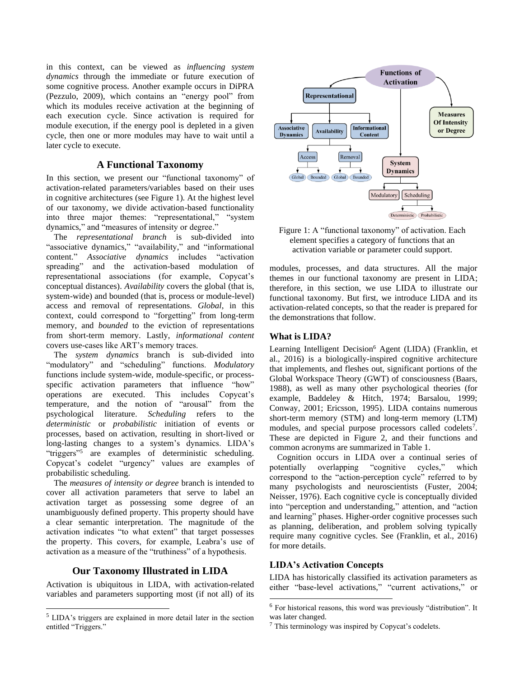in this context, can be viewed as *influencing system dynamics* through the immediate or future execution of some cognitive process. Another example occurs in DiPRA (Pezzulo, 2009), which contains an "energy pool" from which its modules receive activation at the beginning of each execution cycle. Since activation is required for module execution, if the energy pool is depleted in a given cycle, then one or more modules may have to wait until a later cycle to execute.

# **A Functional Taxonomy**

In this section, we present our "functional taxonomy" of activation-related parameters/variables based on their uses in cognitive architectures (see [Figure 1\)](#page-3-0). At the highest level of our taxonomy, we divide activation-based functionality into three major themes: "representational," "system dynamics," and "measures of intensity or degree."

The *representational branch* is sub-divided into "associative dynamics," "availability," and "informational content." *Associative dynamics* includes "activation spreading" and the activation-based modulation of representational associations (for example, Copycat's conceptual distances). *Availability* covers the global (that is, system-wide) and bounded (that is, process or module-level) access and removal of representations. *Global*, in this context, could correspond to "forgetting" from long-term memory, and *bounded* to the eviction of representations from short-term memory. Lastly, *informational content* covers use-cases like ART's memory traces.

The *system dynamics* branch is sub-divided into "modulatory" and "scheduling" functions. *Modulatory* functions include system-wide, module-specific, or processspecific activation parameters that influence "how" operations are executed. This includes Copycat's temperature, and the notion of "arousal" from the psychological literature. *Scheduling* refers to the *deterministic* or *probabilistic* initiation of events or processes, based on activation, resulting in short-lived or long-lasting changes to a system's dynamics. LIDA's "triggers"<sup>5</sup> are examples of deterministic scheduling. Copycat's codelet "urgency" values are examples of probabilistic scheduling.

The *measures of intensity or degree* branch is intended to cover all activation parameters that serve to label an activation target as possessing some degree of an unambiguously defined property. This property should have a clear semantic interpretation. The magnitude of the activation indicates "to what extent" that target possesses the property. This covers, for example, Leabra's use of activation as a measure of the "truthiness" of a hypothesis.

# **Our Taxonomy Illustrated in LIDA**

Activation is ubiquitous in LIDA, with activation-related variables and parameters supporting most (if not all) of its



<span id="page-3-0"></span>Figure 1: A "functional taxonomy" of activation. Each element specifies a category of functions that an activation variable or parameter could support.

modules, processes, and data structures. All the major themes in our functional taxonomy are present in LIDA; therefore, in this section, we use LIDA to illustrate our functional taxonomy. But first, we introduce LIDA and its activation-related concepts, so that the reader is prepared for the demonstrations that follow.

# **What is LIDA?**

Learning Intelligent Decision<sup>6</sup> Agent (LIDA) (Franklin, et al., 2016) is a biologically-inspired cognitive architecture that implements, and fleshes out, significant portions of the Global Workspace Theory (GWT) of consciousness (Baars, 1988), as well as many other psychological theories (for example, Baddeley & Hitch, 1974; Barsalou, 1999; Conway, 2001; Ericsson, 1995). LIDA contains numerous short-term memory (STM) and long-term memory (LTM) modules, and special purpose processors called codelets<sup>7</sup>. These are depicted in [Figure 2,](#page-4-0) and their functions and common acronyms are summarized in [Table 1.](#page-5-0)

Cognition occurs in LIDA over a continual series of potentially overlapping "cognitive cycles," which correspond to the "action-perception cycle" referred to by many psychologists and neuroscientists (Fuster, 2004; Neisser, 1976). Each cognitive cycle is conceptually divided into "perception and understanding," attention, and "action and learning" phases. Higher-order cognitive processes such as planning, deliberation, and problem solving typically require many cognitive cycles. See (Franklin, et al., 2016) for more details.

# **LIDA's Activation Concepts**

LIDA has historically classified its activation parameters as either "base-level activations," "current activations," or

<sup>5</sup> LIDA's triggers are explained in more detail later in the section entitled "Triggers."

<sup>6</sup> For historical reasons, this word was previously "distribution". It was later changed.

<sup>7</sup> This terminology was inspired by Copycat's codelets.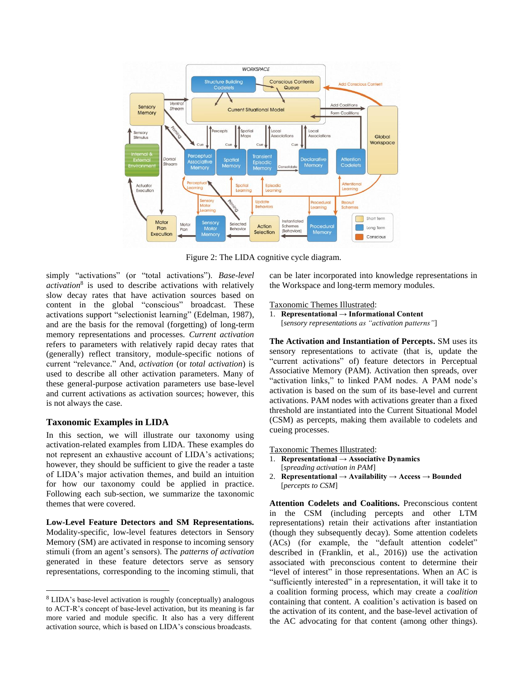

<span id="page-4-0"></span>Figure 2: The LIDA cognitive cycle diagram.

simply "activations" (or "total activations"). *Base-level activation*<sup>8</sup> is used to describe activations with relatively slow decay rates that have activation sources based on content in the global "conscious" broadcast. These activations support "selectionist learning" (Edelman, 1987), and are the basis for the removal (forgetting) of long-term memory representations and processes. *Current activation* refers to parameters with relatively rapid decay rates that (generally) reflect transitory, module-specific notions of current "relevance." And, *activation* (or *total activation*) is used to describe all other activation parameters. Many of these general-purpose activation parameters use base-level and current activations as activation sources; however, this is not always the case.

# **Taxonomic Examples in LIDA**

In this section, we will illustrate our taxonomy using activation-related examples from LIDA. These examples do not represent an exhaustive account of LIDA's activations; however, they should be sufficient to give the reader a taste of LIDA's major activation themes, and build an intuition for how our taxonomy could be applied in practice. Following each sub-section, we summarize the taxonomic themes that were covered.

**Low-Level Feature Detectors and SM Representations.** Modality-specific, low-level features detectors in Sensory Memory (SM) are activated in response to incoming sensory stimuli (from an agent's sensors). The *patterns of activation* generated in these feature detectors serve as sensory representations, corresponding to the incoming stimuli, that can be later incorporated into knowledge representations in the Workspace and long-term memory modules.

#### Taxonomic Themes Illustrated:

1. **Representational → Informational Content**  [*sensory representations as "activation patterns"*]

**The Activation and Instantiation of Percepts.** SM uses its sensory representations to activate (that is, update the "current activations" of) feature detectors in Perceptual Associative Memory (PAM). Activation then spreads, over "activation links," to linked PAM nodes. A PAM node's activation is based on the sum of its base-level and current activations. PAM nodes with activations greater than a fixed threshold are instantiated into the Current Situational Model (CSM) as percepts, making them available to codelets and cueing processes.

Taxonomic Themes Illustrated:

- 1. **Representational → Associative Dynamics**  [*spreading activation in PAM*]
- 2. **Representational**  $\rightarrow$  Availability  $\rightarrow$  Access  $\rightarrow$  Bounded [*percepts to CSM*]

**Attention Codelets and Coalitions.** Preconscious content in the CSM (including percepts and other LTM representations) retain their activations after instantiation (though they subsequently decay). Some attention codelets (ACs) (for example, the "default attention codelet" described in (Franklin, et al., 2016)) use the activation associated with preconscious content to determine their "level of interest" in those representations. When an AC is "sufficiently interested" in a representation, it will take it to a coalition forming process, which may create a *coalition* containing that content. A coalition's activation is based on the activation of its content, and the base-level activation of the AC advocating for that content (among other things).

<sup>8</sup> LIDA's base-level activation is roughly (conceptually) analogous to ACT-R's concept of base-level activation, but its meaning is far more varied and module specific. It also has a very different activation source, which is based on LIDA's conscious broadcasts.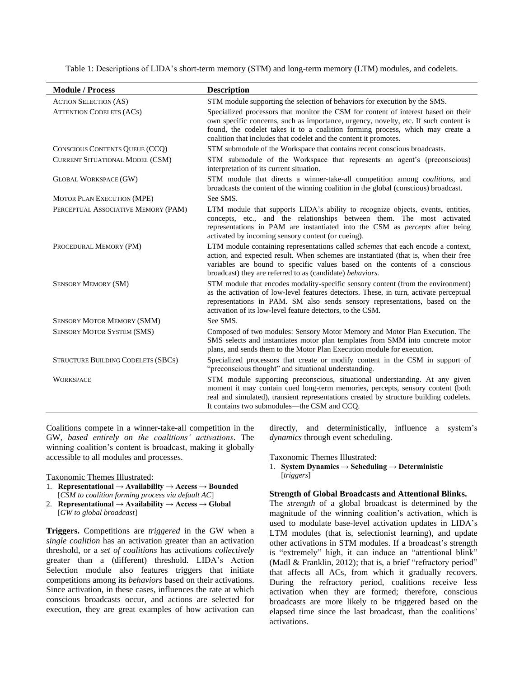<span id="page-5-0"></span>

| <b>Module / Process</b>                   | <b>Description</b>                                                                                                                                                                                                                                                                                                                |
|-------------------------------------------|-----------------------------------------------------------------------------------------------------------------------------------------------------------------------------------------------------------------------------------------------------------------------------------------------------------------------------------|
| <b>ACTION SELECTION (AS)</b>              | STM module supporting the selection of behaviors for execution by the SMS.                                                                                                                                                                                                                                                        |
| <b>ATTENTION CODELETS (ACS)</b>           | Specialized processors that monitor the CSM for content of interest based on their<br>own specific concerns, such as importance, urgency, novelty, etc. If such content is<br>found, the codelet takes it to a coalition forming process, which may create a<br>coalition that includes that codelet and the content it promotes. |
| <b>CONSCIOUS CONTENTS QUEUE (CCQ)</b>     | STM submodule of the Workspace that contains recent conscious broadcasts.                                                                                                                                                                                                                                                         |
| <b>CURRENT SITUATIONAL MODEL (CSM)</b>    | STM submodule of the Workspace that represents an agent's (preconscious)<br>interpretation of its current situation.                                                                                                                                                                                                              |
| <b>GLOBAL WORKSPACE (GW)</b>              | STM module that directs a winner-take-all competition among <i>coalitions</i> , and<br>broadcasts the content of the winning coalition in the global (conscious) broadcast.                                                                                                                                                       |
| MOTOR PLAN EXECUTION (MPE)                | See SMS.                                                                                                                                                                                                                                                                                                                          |
| PERCEPTUAL ASSOCIATIVE MEMORY (PAM)       | LTM module that supports LIDA's ability to recognize objects, events, entities,<br>concepts, etc., and the relationships between them. The most activated<br>representations in PAM are instantiated into the CSM as <i>percepts</i> after being<br>activated by incoming sensory content (or cueing).                            |
| PROCEDURAL MEMORY (PM)                    | LTM module containing representations called <i>schemes</i> that each encode a context,<br>action, and expected result. When schemes are instantiated (that is, when their free<br>variables are bound to specific values based on the contents of a conscious<br>broadcast) they are referred to as (candidate) behaviors.       |
| <b>SENSORY MEMORY (SM)</b>                | STM module that encodes modality-specific sensory content (from the environment)<br>as the activation of low-level features detectors. These, in turn, activate perceptual<br>representations in PAM. SM also sends sensory representations, based on the<br>activation of its low-level feature detectors, to the CSM.           |
| <b>SENSORY MOTOR MEMORY (SMM)</b>         | See SMS.                                                                                                                                                                                                                                                                                                                          |
| <b>SENSORY MOTOR SYSTEM (SMS)</b>         | Composed of two modules: Sensory Motor Memory and Motor Plan Execution. The<br>SMS selects and instantiates motor plan templates from SMM into concrete motor<br>plans, and sends them to the Motor Plan Execution module for execution.                                                                                          |
| <b>STRUCTURE BUILDING CODELETS (SBCS)</b> | Specialized processors that create or modify content in the CSM in support of<br>"preconscious thought" and situational understanding.                                                                                                                                                                                            |
| <b>WORKSPACE</b>                          | STM module supporting preconscious, situational understanding. At any given<br>moment it may contain cued long-term memories, percepts, sensory content (both<br>real and simulated), transient representations created by structure building codelets.<br>It contains two submodules-the CSM and CCQ.                            |

Table 1: Descriptions of LIDA's short-term memory (STM) and long-term memory (LTM) modules, and codelets.

Coalitions compete in a winner-take-all competition in the GW, *based entirely on the coalitions' activations*. The winning coalition's content is broadcast, making it globally accessible to all modules and processes.

Taxonomic Themes Illustrated:

- 1. **Representational → Availability → Access → Bounded**  [*CSM to coalition forming process via default AC*]
- 2. **Representational → Availability → Access → Global**  [*GW to global broadcast*]

**Triggers.** Competitions are *triggered* in the GW when a *single coalition* has an activation greater than an activation threshold, or a *set of coalitions* has activations *collectively* greater than a (different) threshold. LIDA's Action Selection module also features triggers that initiate competitions among its *behaviors* based on their activations. Since activation, in these cases, influences the rate at which conscious broadcasts occur, and actions are selected for execution, they are great examples of how activation can

directly, and deterministically, influence a system's *dynamics* through event scheduling.

Taxonomic Themes Illustrated:

1. **System Dynamics → Scheduling → Deterministic**  [*triggers*]

#### **Strength of Global Broadcasts and Attentional Blinks.**

The *strength* of a global broadcast is determined by the magnitude of the winning coalition's activation, which is used to modulate base-level activation updates in LIDA's LTM modules (that is, selectionist learning), and update other activations in STM modules. If a broadcast's strength is "extremely" high, it can induce an "attentional blink" (Madl & Franklin, 2012); that is, a brief "refractory period" that affects all ACs, from which it gradually recovers. During the refractory period, coalitions receive less activation when they are formed; therefore, conscious broadcasts are more likely to be triggered based on the elapsed time since the last broadcast, than the coalitions' activations.